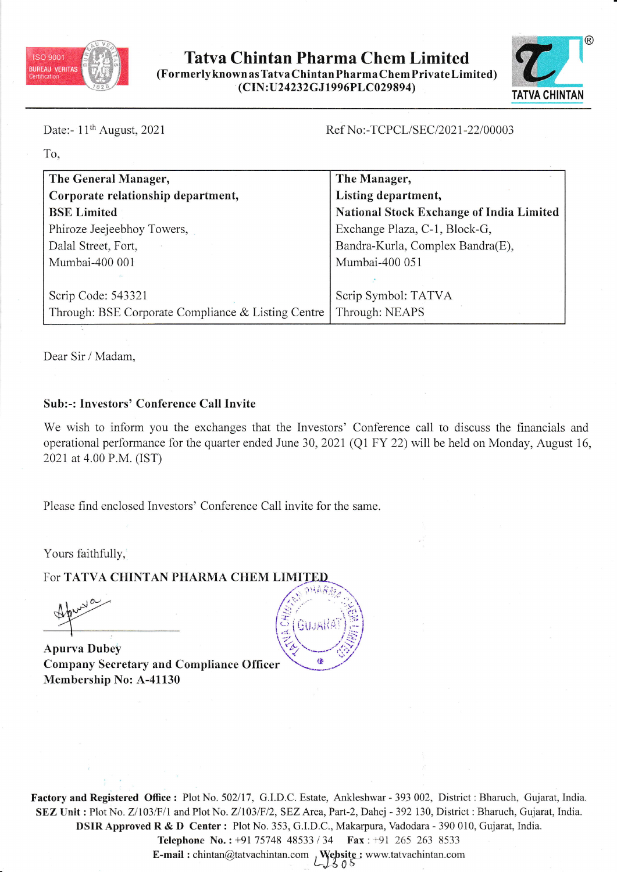

## Tatva Chintan Pharma Chem Limited (Formerlyknown as Tatva Chintan Pharma Chem PrivateLimited) (C IN : tI24 232G J 19 9 6PL C 02 9 894)



Date:-  $11<sup>th</sup>$  August, 2021

### Ref No:-TCPCL/SEC/2021-22/00003

To,

| The General Manager,                               | The Manager,                                    |
|----------------------------------------------------|-------------------------------------------------|
| Corporate relationship department,                 | Listing department,                             |
| <b>BSE Limited</b>                                 | <b>National Stock Exchange of India Limited</b> |
| Phiroze Jeejeebhoy Towers,                         | Exchange Plaza, C-1, Block-G,                   |
| Dalal Street, Fort,                                | Bandra-Kurla, Complex Bandra(E),                |
| Mumbai-400 001                                     | Mumbai-400 051                                  |
|                                                    |                                                 |
| Scrip Code: 543321                                 | Scrip Symbol: TATVA                             |
| Through: BSE Corporate Compliance & Listing Centre | Through: NEAPS                                  |

Dear Sir / Madam,

## Sub:-: Investors' Conference Call Invite

We wish to inform you the exchanges that the Investors' Conference call to discuss the financials and operational performance for the quarter ended June 30, 2021 (Q1 FY 22) will be held on Monday, August 16, 2021 at 4.00 P.M. (IST)

Please find enclosed Investors' Conference Call invite for the same.

Yours faithfully,

For TATVA CHINTAN PHARMA CHEM LIMITED

 $, 10$ .&hyY  $\tilde{\mathcal{A}}$ 

Apurva Dubey Company Secretary and Compliance Officer Membership No: A-41130



Factory and Registered Office: Plot No. 502/17, G.I.D.C. Estate, Ankleshwar - 393 002, District: Bharuch, Gujarat, India. SEZ Unit : Plot No. Z/103/F/1 and Plot No. Z/103/F/2, SEZ Area, Part-2, Dahej - 392 130, District : Bharuch, Gujarat, India. DSIR Approved R & D Center : Plot No. 353, G.I.D.C., Makarpura, Vadodara - 390 010, Gujarat, India.

Telephone No.: +91 75748 48533 / 34 Fax: +91 265 263 8533 **E-mail :** chintan@tatvachintan.com,  $\bigcup_{S \cup S}$  Website : www.tatvachintan.com